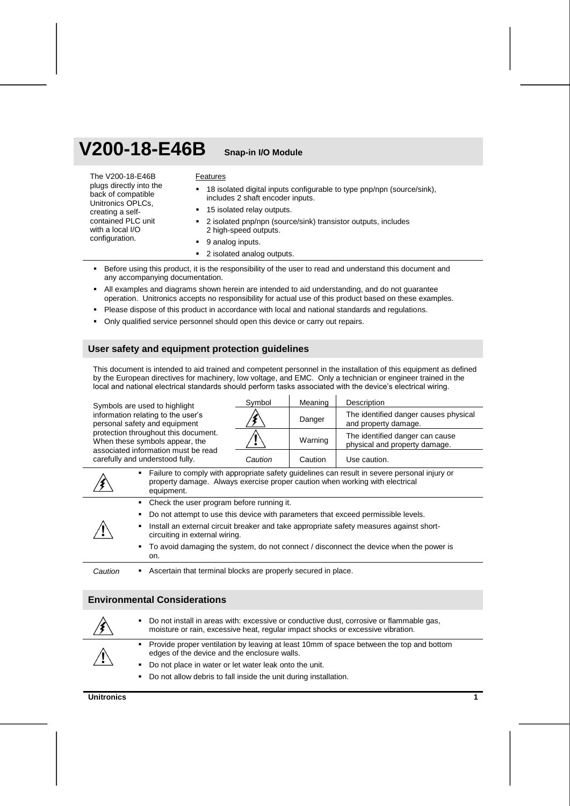# **V200-18-E46B Snap-in I/O Module**

The V200-18-E46B plugs directly into the back of compatible Unitronics OPLCs, creating a selfcontained PLC unit with a local I/O configuration. Features <sup>■</sup> 18 isolated digital inputs configurable to type pnp/npn (source/sink), includes 2 shaft encoder inputs. 15 isolated relay outputs. 2 isolated pnp/npn (source/sink) transistor outputs, includes 2 high-speed outputs. 9 analog inputs.

- 2 isolated analog outputs.
- Before using this product, it is the responsibility of the user to read and understand this document and any accompanying documentation.
- All examples and diagrams shown herein are intended to aid understanding, and do not guarantee operation. Unitronics accepts no responsibility for actual use of this product based on these examples.
- Please dispose of this product in accordance with local and national standards and regulations.
- Only qualified service personnel should open this device or carry out repairs.

## **User safety and equipment protection guidelines**

This document is intended to aid trained and competent personnel in the installation of this equipment as defined by the European directives for machinery, low voltage, and EMC. Only a technician or engineer trained in the local and national electrical standards should perform tasks associated with the device's electrical wiring.

Symbols are used to highlight information relating to the user's personal safety and equipment protection throughout this document. When these symbols appear, the associated information must be read carefully and understood fully.

| Symbol    | Meaning | Description                                                      |
|-----------|---------|------------------------------------------------------------------|
|           | Danger  | The identified danger causes physical<br>and property damage.    |
|           | Warning | The identified danger can cause<br>physical and property damage. |
| ี Ca⊔tion | Caution | Use caution.                                                     |

|         | Failure to comply with appropriate safety guidelines can result in severe personal injury or<br>property damage. Always exercise proper caution when working with electrical<br>equipment. |
|---------|--------------------------------------------------------------------------------------------------------------------------------------------------------------------------------------------|
|         | • Check the user program before running it.                                                                                                                                                |
|         | • Do not attempt to use this device with parameters that exceed permissible levels.                                                                                                        |
|         | Install an external circuit breaker and take appropriate safety measures against short-<br>٠<br>circuiting in external wiring.                                                             |
|         | To avoid damaging the system, do not connect / disconnect the device when the power is<br>$\mathbf{r}$<br>on.                                                                              |
| Caution | Ascertain that terminal blocks are properly secured in place.                                                                                                                              |

## **Environmental Considerations**

|                | ٠. | Do not install in areas with: excessive or conductive dust, corrosive or flammable gas,<br>moisture or rain, excessive heat, regular impact shocks or excessive vibration. |
|----------------|----|----------------------------------------------------------------------------------------------------------------------------------------------------------------------------|
| $\backslash !$ |    | • Provide proper ventilation by leaving at least 10mm of space between the top and bottom<br>edges of the device and the enclosure walls.                                  |
|                | ۰. | Do not place in water or let water leak onto the unit.                                                                                                                     |
|                |    | Do not allow debris to fall inside the unit during installation.                                                                                                           |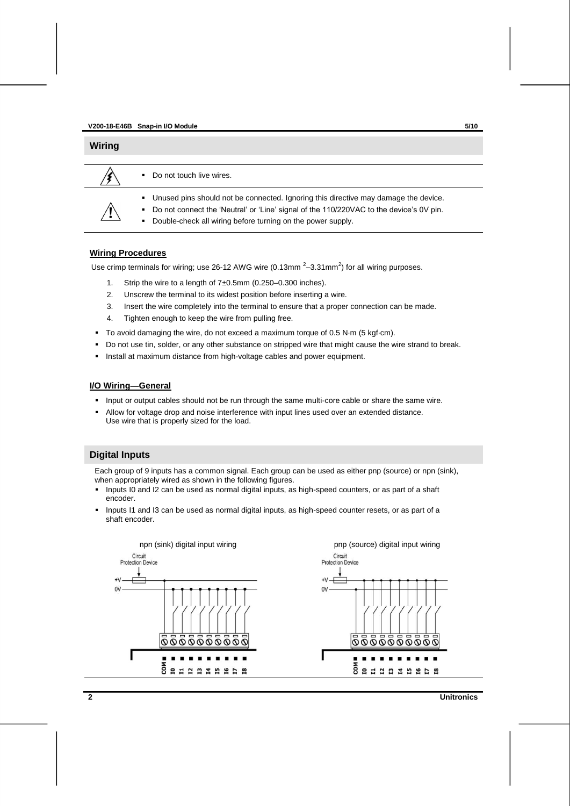| <b>Wiring</b>    |                             |                                                                                         |
|------------------|-----------------------------|-----------------------------------------------------------------------------------------|
|                  |                             |                                                                                         |
|                  |                             | Do not touch live wires.                                                                |
|                  |                             | • Unused pins should not be connected. Ignoring this directive may damage the device.   |
|                  | $\mathbf{m}_{\mathrm{max}}$ | Do not connect the 'Neutral' or 'Line' signal of the 110/220VAC to the device's 0V pin. |
| $\ddot{\bullet}$ | ٠                           | Double-check all wiring before turning on the power supply.                             |

## **Wiring Procedures**

Use crimp terminals for wiring; use 26-12 AWG wire (0.13mm  $2-3.31$ mm $^2$ ) for all wiring purposes.

- 1. Strip the wire to a length of 7±0.5mm (0.250–0.300 inches).
- 2. Unscrew the terminal to its widest position before inserting a wire.
- 3. Insert the wire completely into the terminal to ensure that a proper connection can be made.
- 4. Tighten enough to keep the wire from pulling free.
- To avoid damaging the wire, do not exceed a maximum torque of 0.5 N·m (5 kgf·cm).
- Do not use tin, solder, or any other substance on stripped wire that might cause the wire strand to break.
- **Install at maximum distance from high-voltage cables and power equipment.**

## **I/O Wiring—General**

- Input or output cables should not be run through the same multi-core cable or share the same wire.
- Allow for voltage drop and noise interference with input lines used over an extended distance. Use wire that is properly sized for the load.

## **Digital Inputs**

Each group of 9 inputs has a common signal. Each group can be used as either pnp (source) or npn (sink), when appropriately wired as shown in the following figures.

- Inputs I0 and I2 can be used as normal digital inputs, as high-speed counters, or as part of a shaft encoder.
- Inputs I1 and I3 can be used as normal digital inputs, as high-speed counter resets, or as part of a shaft encoder.

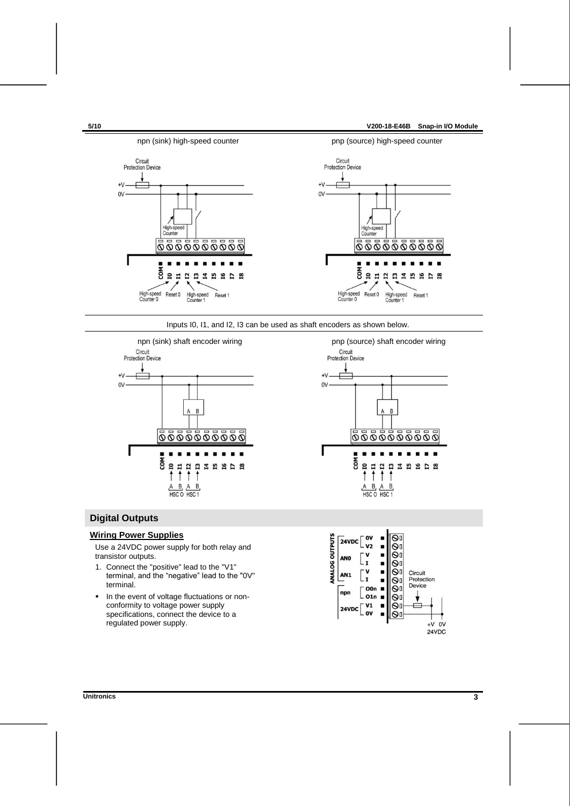

Inputs I0, I1, and I2, I3 can be used as shaft encoders as shown below.





## **Digital Outputs**

## **Wiring Power Supplies**

Use a 24VDC power supply for both relay and transistor outputs.

- 1. Connect the "positive" lead to the "V1" terminal, and the "negative" lead to the "0V" terminal.
- **In the event of voltage fluctuations or non**conformity to voltage power supply specifications, connect the device to a regulated power supply.

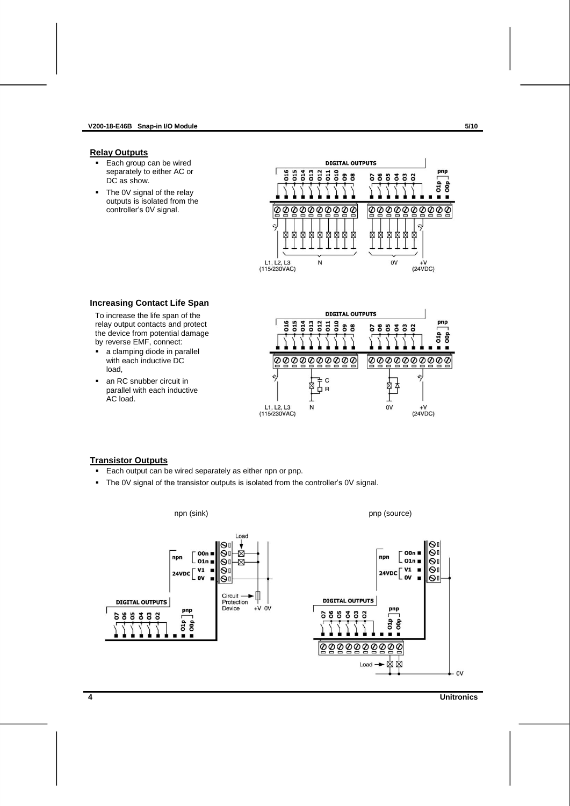#### **V200-18-E46B Snap-in I/O Module 5/10**

### <span id="page-3-0"></span>**Relay Outputs**

- Each group can be wired separately to either AC or DC as show.
- The 0V signal of the relay outputs is isolated from the controller's 0V signal.



### **Increasing Contact Life Span**

To increase the life span of the relay output contacts and protect the device from potential damage by reverse EMF, connect:

- a clamping diode in parallel with each inductive DC load,
- an RC snubber circuit in parallel with each inductive AC load.



## **Transistor Outputs**

- **Each output can be wired separately as either npn or pnp.**
- The 0V signal of the transistor outputs is isolated from the controller's 0V signal.



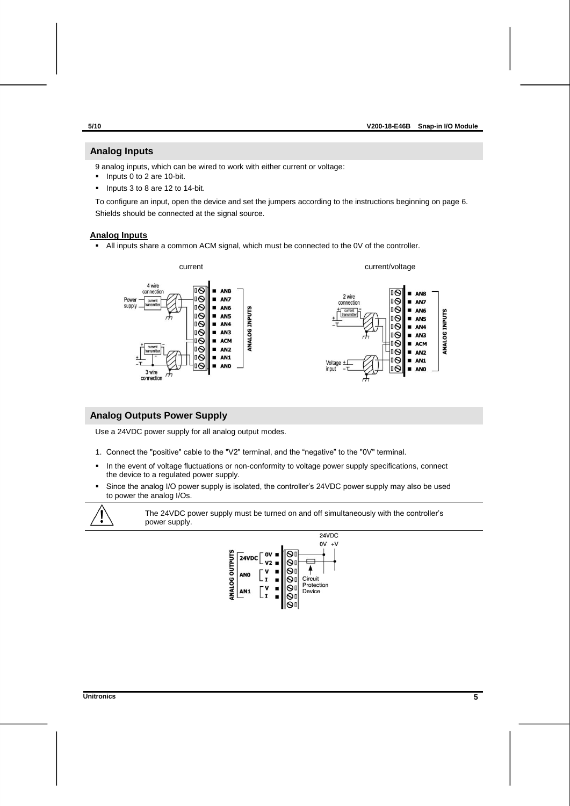## **Analog Inputs**

9 analog inputs, which can be wired to work with either current or voltage:

- $\blacksquare$  Inputs 0 to 2 are 10-bit.
- $\blacksquare$  Inputs 3 to 8 are 12 to 14-bit.

To configure an input, open the device and set the jumpers according to the instructions beginning on page [6.](#page-5-0) Shields should be connected at the signal source.

## **Analog Inputs**

All inputs share a common ACM signal, which must be connected to the 0V of the controller.



## **Analog Outputs Power Supply**

Use a 24VDC power supply for all analog output modes.

- 1. Connect the "positive" cable to the "V2" terminal, and the "negative" to the "0V" terminal.
- **In the event of voltage fluctuations or non-conformity to voltage power supply specifications, connect** the device to a regulated power supply.
- Since the analog I/O power supply is isolated, the controller's 24VDC power supply may also be used to power the analog I/Os.



The 24VDC power supply must be turned on and off simultaneously with the controller's power supply.

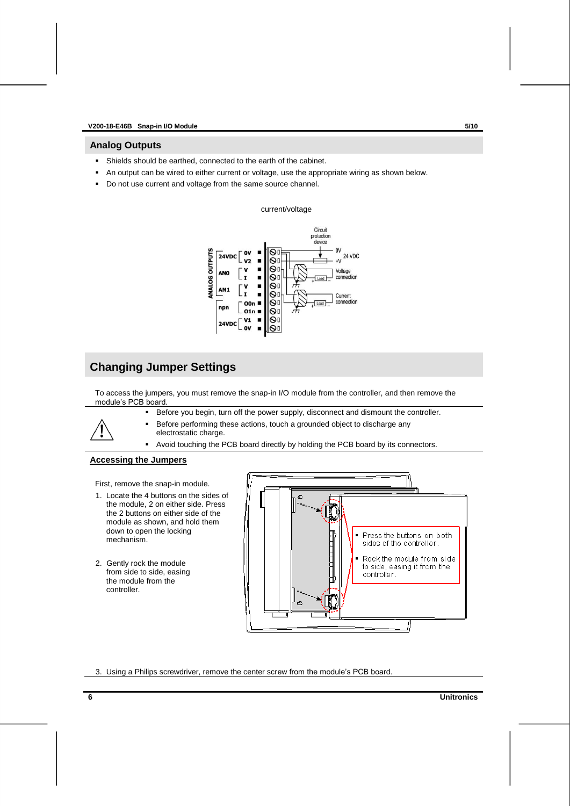## **Analog Outputs**

- Shields should be earthed, connected to the earth of the cabinet.
- An output can be wired to either current or voltage, use the appropriate wiring as shown below.
- Do not use current and voltage from the same source channel.

## current/voltage



## **Changing Jumper Settings**

To access the jumpers, you must remove the snap-in I/O module from the controller, and then remove the module's PCB board.



Before you begin, turn off the power supply, disconnect and dismount the controller.

- Before performing these actions, touch a grounded object to discharge any electrostatic charge.
- Avoid touching the PCB board directly by holding the PCB board by its connectors.

## <span id="page-5-0"></span>**Accessing the Jumpers**

First, remove the snap-in module.

- 1. Locate the 4 buttons on the sides of the module, 2 on either side. Press the 2 buttons on either side of the module as shown, and hold them down to open the locking mechanism.
- 2. Gently rock the module from side to side, easing the module from the controller.



3. Using a Philips screwdriver, remove the center screw from the module's PCB board.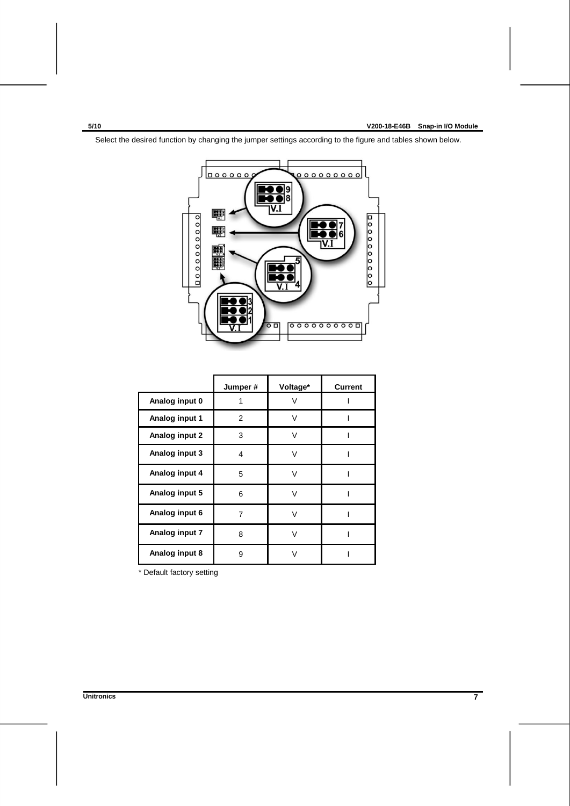$000000$ <u>。。。。。。。。。。</u>  $\overline{\mathbf{R} \bullet}$ ĪV.Ī E. 0000000000  $000000000$  $\frac{1}{2}$ E. 6  $\overline{\mathsf{v}}$ 開開  $\overline{\mathbf{R}}$  $00000000$ ॰

Select the desired function by changing the jumper settings according to the figure and tables shown below.

|                | Jumper# | Voltage*     | <b>Current</b> |
|----------------|---------|--------------|----------------|
| Analog input 0 |         | V            |                |
| Analog input 1 | 2       | V            |                |
| Analog input 2 | 3       | $\mathsf{V}$ |                |
| Analog input 3 | 4       | v            |                |
| Analog input 4 | 5       | V            |                |
| Analog input 5 | 6       | $\mathsf{v}$ |                |
| Analog input 6 | 7       | $\mathsf{V}$ |                |
| Analog input 7 | 8       | V            |                |
| Analog input 8 | 9       |              |                |

\* Default factory setting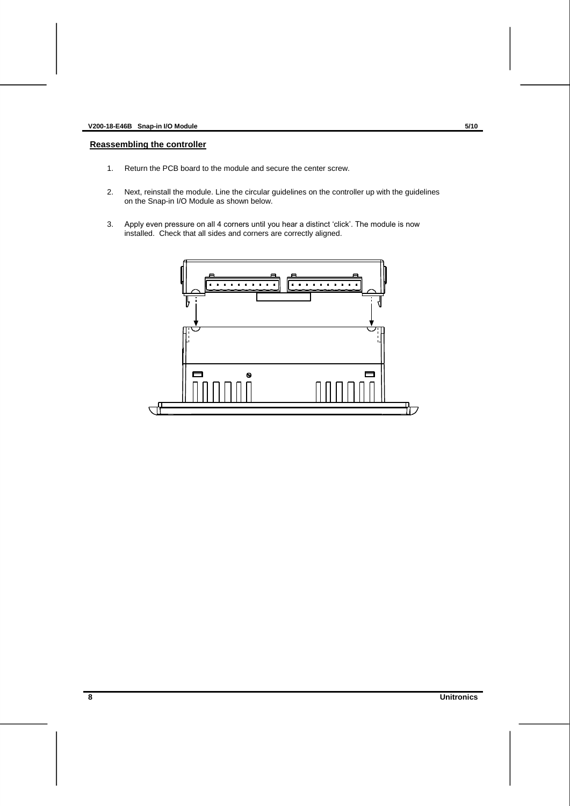## **Reassembling the controller**

- 1. Return the PCB board to the module and secure the center screw.
- 2. Next, reinstall the module. Line the circular guidelines on the controller up with the guidelines on the Snap-in I/O Module as shown below.
- 3. Apply even pressure on all 4 corners until you hear a distinct 'click'. The module is now installed. Check that all sides and corners are correctly aligned.

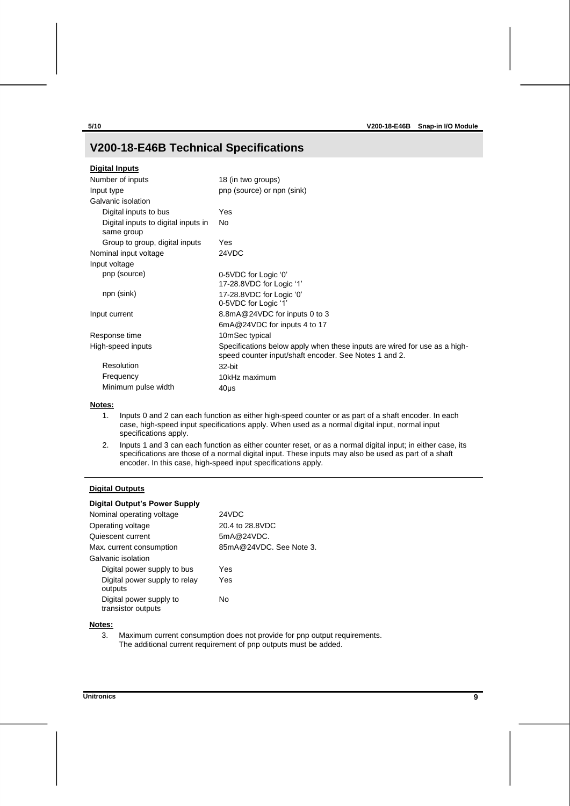## **V200-18-E46B Technical Specifications**

| <b>Digital Inputs</b>                             |                                                                                                                                    |
|---------------------------------------------------|------------------------------------------------------------------------------------------------------------------------------------|
| Number of inputs                                  | 18 (in two groups)                                                                                                                 |
| Input type                                        | pnp (source) or npn (sink)                                                                                                         |
| Galvanic isolation                                |                                                                                                                                    |
| Digital inputs to bus                             | Yes                                                                                                                                |
| Digital inputs to digital inputs in<br>same group | No                                                                                                                                 |
| Group to group, digital inputs                    | Yes                                                                                                                                |
| Nominal input voltage                             | 24VDC                                                                                                                              |
| Input voltage                                     |                                                                                                                                    |
| pnp (source)                                      | 0-5VDC for Logic '0'<br>17-28.8VDC for Logic '1'                                                                                   |
| npn (sink)                                        | 17-28.8VDC for Logic '0'<br>0-5VDC for Logic '1'                                                                                   |
| Input current                                     | 8.8mA@24VDC for inputs 0 to 3                                                                                                      |
|                                                   | 6mA@24VDC for inputs 4 to 17                                                                                                       |
| Response time                                     | 10mSec typical                                                                                                                     |
| High-speed inputs                                 | Specifications below apply when these inputs are wired for use as a high-<br>speed counter input/shaft encoder. See Notes 1 and 2. |
| Resolution                                        | 32-bit                                                                                                                             |
| Frequency                                         | 10kHz maximum                                                                                                                      |
| Minimum pulse width                               | $40µ$ s                                                                                                                            |
|                                                   |                                                                                                                                    |

#### <span id="page-8-0"></span>**Notes:**

- 1. Inputs 0 and 2 can each function as either high-speed counter or as part of a shaft encoder. In each case, high-speed input specifications apply. When used as a normal digital input, normal input specifications apply.
- <span id="page-8-1"></span>2. Inputs 1 and 3 can each function as either counter reset, or as a normal digital input; in either case, its specifications are those of a normal digital input. These inputs may also be used as part of a shaft encoder. In this case, high-speed input specifications apply.

## **Digital Outputs**

## **Digital Output's Power Supply**

| Nominal operating voltage                     | 24VDC                   |
|-----------------------------------------------|-------------------------|
| Operating voltage                             | 20.4 to 28.8VDC         |
| Quiescent current                             | 5mA@24VDC.              |
| Max. current consumption                      | 85mA@24VDC. See Note 3. |
| Galvanic isolation                            |                         |
| Digital power supply to bus                   | Yes                     |
| Digital power supply to relay<br>outputs      | Yes                     |
| Digital power supply to<br>transistor outputs | No                      |
|                                               |                         |

## <span id="page-8-2"></span>**Notes:**

3. Maximum current consumption does not provide for pnp output requirements. The additional current requirement of pnp outputs must be added.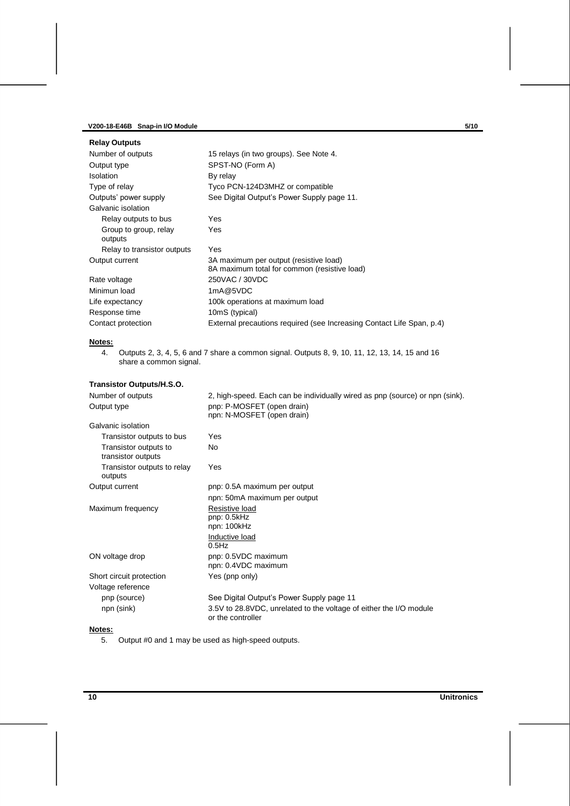## **V200-18-E46B Snap-in I/O Module 5/10**

| <b>Relay Outputs</b>             |                                                                                        |
|----------------------------------|----------------------------------------------------------------------------------------|
| Number of outputs                | 15 relays (in two groups). See Note 4.                                                 |
| Output type                      | SPST-NO (Form A)                                                                       |
| Isolation                        | By relay                                                                               |
| Type of relay                    | Tyco PCN-124D3MHZ or compatible                                                        |
| Outputs' power supply            | See Digital Output's Power Supply page 11.                                             |
| Galvanic isolation               |                                                                                        |
| Relay outputs to bus             | Yes                                                                                    |
| Group to group, relay<br>outputs | Yes                                                                                    |
| Relay to transistor outputs      | Yes                                                                                    |
| Output current                   | 3A maximum per output (resistive load)<br>8A maximum total for common (resistive load) |
| Rate voltage                     | 250VAC / 30VDC                                                                         |
| Minimun load                     | 1mA@5VDC                                                                               |
| Life expectancy                  | 100k operations at maximum load                                                        |
| Response time                    | 10mS (typical)                                                                         |
| Contact protection               | External precautions required (see Increasing Contact Life Span, p.4)                  |

# <span id="page-9-0"></span>**Notes:**<br>4.

4. Outputs 2, 3, 4, 5, 6 and 7 share a common signal. Outputs 8, 9, 10, 11, 12, 13, 14, 15 and 16 share a common signal.

| Transistor Outputs/H.S.O. |  |  |
|---------------------------|--|--|
|---------------------------|--|--|

| Number of outputs                           | 2, high-speed. Each can be individually wired as pnp (source) or npn (sink).            |
|---------------------------------------------|-----------------------------------------------------------------------------------------|
| Output type                                 | pnp: P-MOSFET (open drain)<br>npn: N-MOSFET (open drain)                                |
| Galvanic isolation                          |                                                                                         |
| Transistor outputs to bus                   | Yes                                                                                     |
| Transistor outputs to<br>transistor outputs | <b>No</b>                                                                               |
| Transistor outputs to relay<br>outputs      | Yes                                                                                     |
| Output current                              | pnp: 0.5A maximum per output                                                            |
|                                             | npn: 50mA maximum per output                                                            |
| Maximum frequency                           | Resistive load<br>pnp: 0.5kHz<br>npn: 100kHz<br>Inductive load                          |
|                                             | $0.5$ Hz                                                                                |
| ON voltage drop                             | pnp: 0.5VDC maximum<br>npn: 0.4VDC maximum                                              |
| Short circuit protection                    | Yes (pnp only)                                                                          |
| Voltage reference                           |                                                                                         |
| pnp (source)                                | See Digital Output's Power Supply page 11                                               |
| npn (sink)                                  | 3.5V to 28.8VDC, unrelated to the voltage of either the I/O module<br>or the controller |
|                                             |                                                                                         |

## **Notes:**

5. Output #0 and 1 may be used as high-speed outputs.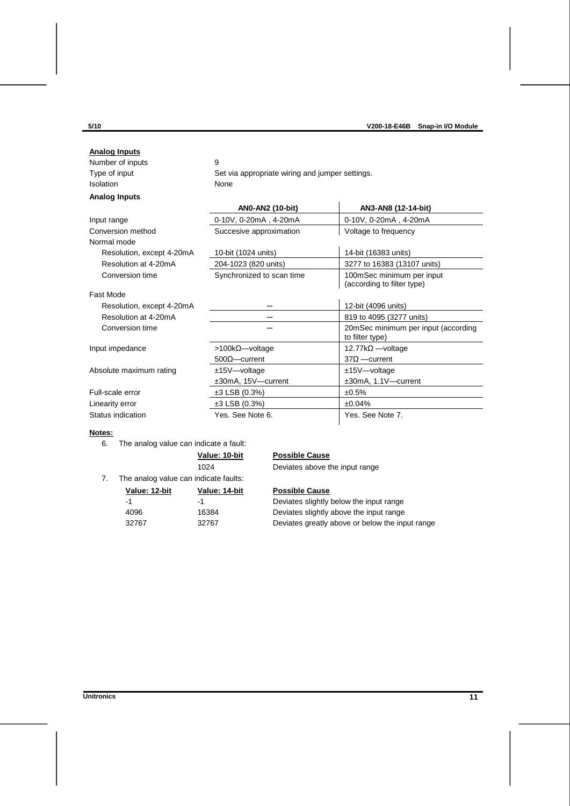| <b>Analog Inputs</b>      |                                                 |                                                         |
|---------------------------|-------------------------------------------------|---------------------------------------------------------|
| Number of inputs          | 9                                               |                                                         |
| Type of input             | Set via appropriate wiring and jumper settings. |                                                         |
| Isolation                 | None                                            |                                                         |
| <b>Analog Inputs</b>      |                                                 |                                                         |
|                           | AN0-AN2 (10-bit)                                | AN3-AN8 (12-14-bit)                                     |
| Input range               | 0-10V, 0-20mA, 4-20mA                           | 0-10V, 0-20mA, 4-20mA                                   |
| Conversion method         | Succesive approximation                         | Voltage to frequency                                    |
| Normal mode               |                                                 |                                                         |
| Resolution, except 4-20mA | 10-bit (1024 units)                             | 14-bit (16383 units)                                    |
| Resolution at 4-20mA      | 204-1023 (820 units)                            | 3277 to 16383 (13107 units)                             |
| Conversion time           | Synchronized to scan time                       | 100mSec minimum per input<br>(according to filter type) |
| Fast Mode                 |                                                 |                                                         |
| Resolution, except 4-20mA |                                                 | 12-bit (4096 units)                                     |
| Resolution at 4-20mA      |                                                 | 819 to 4095 (3277 units)                                |
| Conversion time           |                                                 | 20mSec minimum per input (according<br>to filter type)  |
| Input impedance           | $>100kΩ$ voltage                                | 12.77k $\Omega$ —voltage                                |
|                           | $500\Omega$ - current                           | $37\Omega$ -current                                     |
| Absolute maximum rating   | $±15V$ $-$ voltage                              | $±15V$ voltage                                          |
|                           | ±30mA, 15V-current                              | ±30mA, 1.1V-current                                     |
| Full-scale error          | $±3$ LSB (0.3%)                                 | ±0.5%                                                   |
| Linearity error           | $±3$ LSB (0.3%)                                 | ±0.04%                                                  |
| Status indication         | Yes. See Note 6.                                | Yes. See Note 7.                                        |

## <span id="page-10-0"></span>**Notes:**

6. The analog value can indicate a fault:

| Value: 10-bit |  |
|---------------|--|
| 102 $\Delta$  |  |

## **Possible Cause**

1024 Deviates above the input range

<span id="page-10-1"></span>7. The analog value can indicate faults:

| Value: 12-bit | Value: 14-b |
|---------------|-------------|
| -1            | -1          |
| 4096          | 16384       |
| 32767         | 32767       |

**Possible Cause** Deviates slightly below the input range

Deviates slightly above the input range Deviates greatly above or below the input range